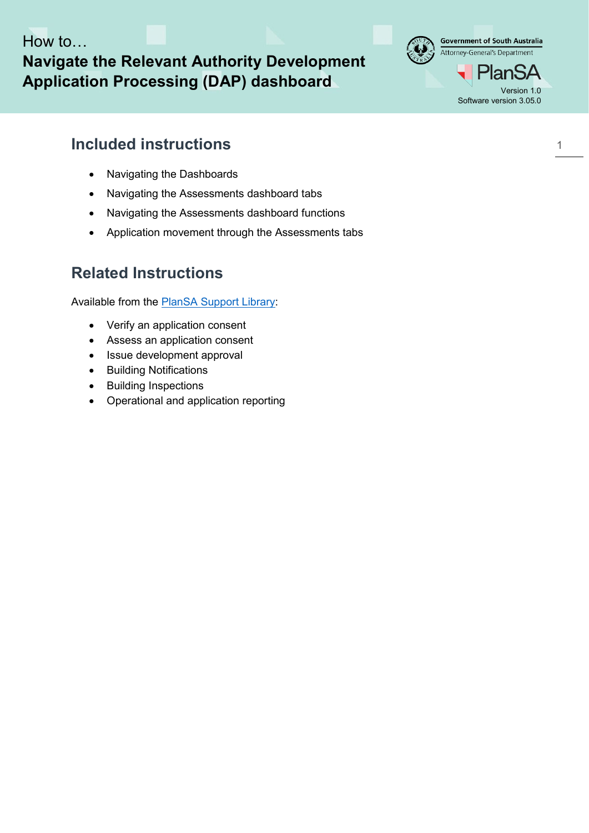How to…

**Navigate the Relevant Authority Development**  Application Processing (DAP) dashboard



## **Included instructions**

- [Navigating the Dashboards](#page-1-0)
- [Navigating the Assessments dashboard tabs](#page-3-0)
- [Navigating the Assessments dashboard functions](#page-4-0)
- [Application movement through the Assessments tabs](#page-5-0)

## **Related Instructions**

Available from the [PlanSA Support Library:](https://plan.sa.gov.au/about/support_library/submit_application)

- Verify an application consent
- Assess an application consent
- Issue development approval
- Building Notifications
- Building Inspections
- Operational and application reporting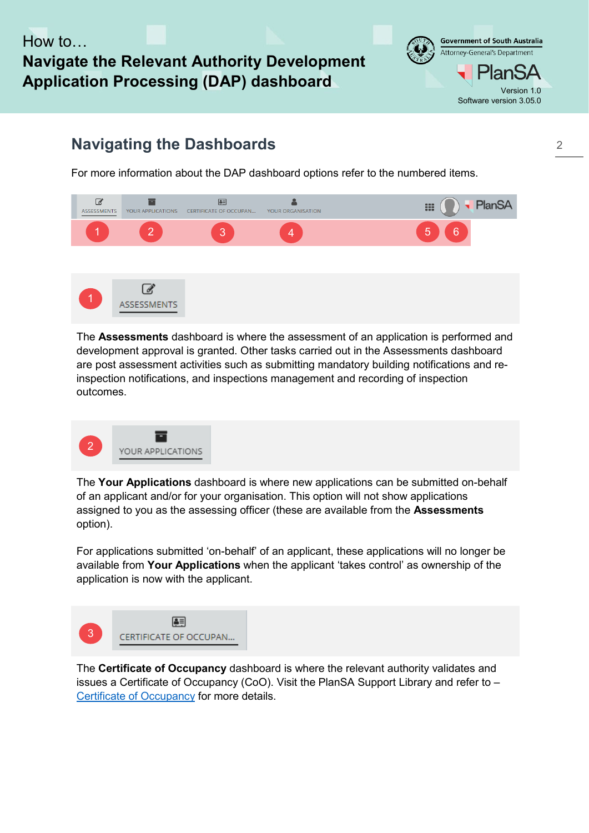## How to **Navigate the Relevant Authority Development Application Processing (DAP) dashboard** Version 1.0



## <span id="page-1-0"></span>**Navigating the Dashboards**

For more information about the DAP dashboard options refer to the numbered items.



The **Assessments** dashboard is where the assessment of an application is performed and development approval is granted. Other tasks carried out in the Assessments dashboard are post assessment activities such as submitting mandatory building notifications and reinspection notifications, and inspections management and recording of inspection outcomes.



The **Your Applications** dashboard is where new applications can be submitted on-behalf of an applicant and/or for your organisation. This option will not show applications assigned to you as the assessing officer (these are available from the **Assessments** option).

For applications submitted 'on-behalf' of an applicant, these applications will no longer be available from **Your Applications** when the applicant 'takes control' as ownership of the application is now with the applicant.



The **Certificate of Occupancy** dashboard is where the relevant authority validates and issues a Certificate of Occupancy (CoO). Visit the PlanSA Support Library and refer to – [Certificate of Occupancy](https://plan.sa.gov.au/about/support_library/certificate_of_occupancy) for more details.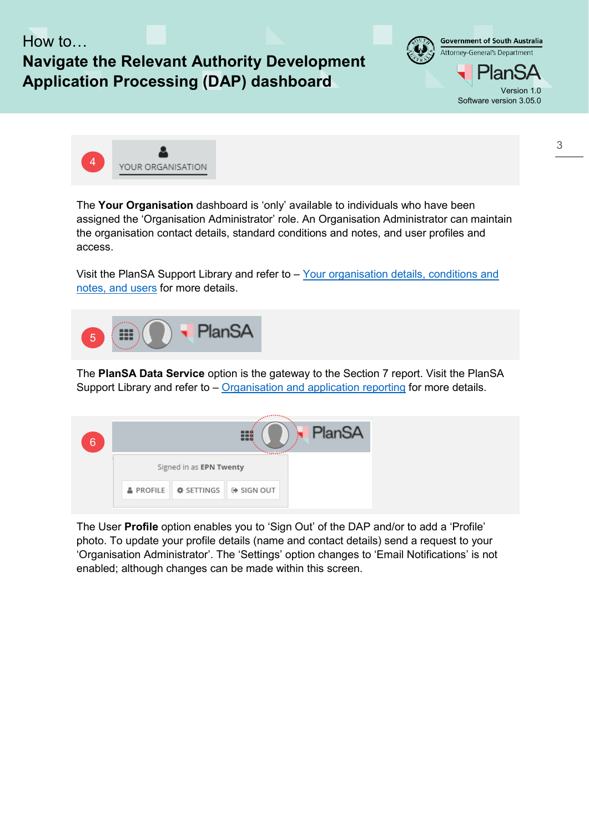

The **Your Organisation** dashboard is 'only' available to individuals who have been assigned the 'Organisation Administrator' role. An Organisation Administrator can maintain the organisation contact details, standard conditions and notes, and user profiles and access.

Visit the PlanSA Support Library and refer to – [Your organisation details, conditions and](https://plan.sa.gov.au/about/support_library/your_organisation)  [notes, and users](https://plan.sa.gov.au/about/support_library/your_organisation) for more details.



The **PlanSA Data Service** option is the gateway to the Section 7 report. Visit the PlanSA Support Library and refer to – [Organisation and application reporting](https://plan.sa.gov.au/about/support_library/operational_and_application_reporting) for more details.

| 6 | PlanSA<br><b><i><u>Francisco</u></i></b> |                                          |  |  |
|---|------------------------------------------|------------------------------------------|--|--|
|   |                                          | Signed in as EPN Twenty                  |  |  |
|   | <b>&amp; PROFILE</b>                     | <b>☆ SETTINGS</b> $\rightarrow$ SIGN OUT |  |  |

The User **Profile** option enables you to 'Sign Out' of the DAP and/or to add a 'Profile' photo. To update your profile details (name and contact details) send a request to your 'Organisation Administrator'. The 'Settings' option changes to 'Email Notifications' is not enabled; although changes can be made within this screen.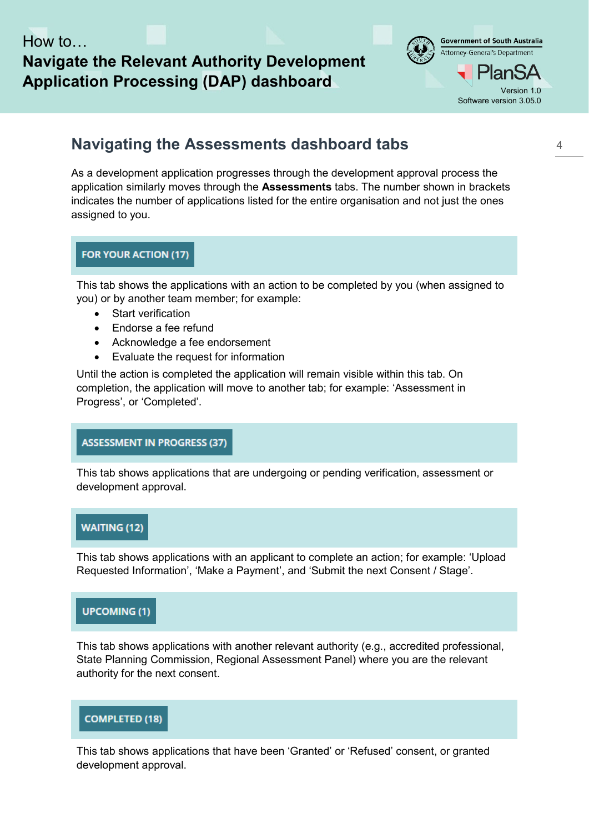## **Navigate the Relevant Authority Development Application Processing (DAP) dashboard** Version 1.0



## <span id="page-3-0"></span>**Navigating the Assessments dashboard tabs**

As a development application progresses through the development approval process the application similarly moves through the **Assessments** tabs. The number shown in brackets indicates the number of applications listed for the entire organisation and not just the ones assigned to you.

#### **FOR YOUR ACTION (17)**

This tab shows the applications with an action to be completed by you (when assigned to you) or by another team member; for example:

- **Start verification**
- Endorse a fee refund
- Acknowledge a fee endorsement
- Evaluate the request for information

Until the action is completed the application will remain visible within this tab. On completion, the application will move to another tab; for example: 'Assessment in Progress', or 'Completed'.

#### **ASSESSMENT IN PROGRESS (37)**

This tab shows applications that are undergoing or pending verification, assessment or development approval.

#### **WAITING (12)**

This tab shows applications with an applicant to complete an action; for example: 'Upload Requested Information', 'Make a Payment', and 'Submit the next Consent / Stage'.

#### **UPCOMING (1)**

This tab shows applications with another relevant authority (e.g., accredited professional, State Planning Commission, Regional Assessment Panel) where you are the relevant authority for the next consent.

#### **COMPLETED (18)**

This tab shows applications that have been 'Granted' or 'Refused' consent, or granted development approval.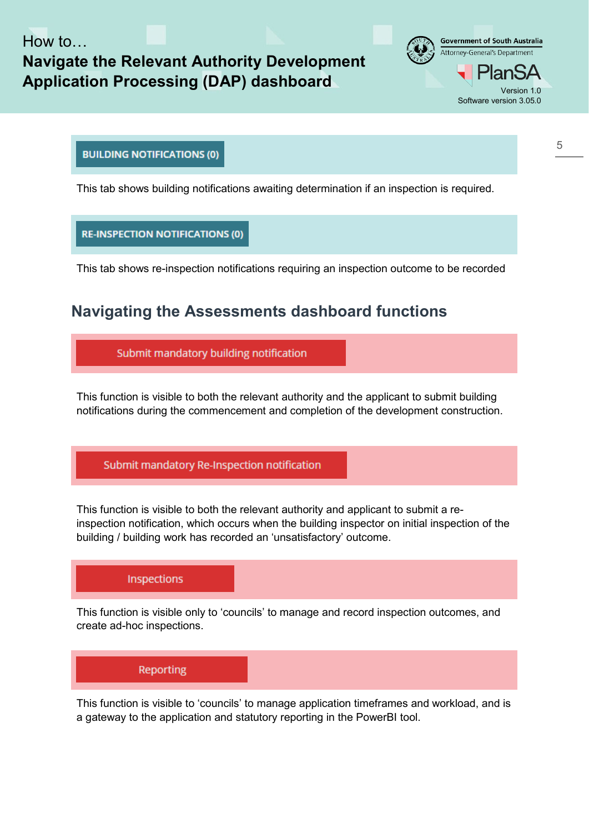## How to **Navigate the Relevant Authority Development Application Processing (DAP) dashboard** Version 1.0



#### **BUILDING NOTIFICATIONS (0)**

This tab shows building notifications awaiting determination if an inspection is required.

#### **RE-INSPECTION NOTIFICATIONS (0)**

This tab shows re-inspection notifications requiring an inspection outcome to be recorded

### <span id="page-4-0"></span>**Navigating the Assessments dashboard functions**

Submit mandatory building notification

This function is visible to both the relevant authority and the applicant to submit building notifications during the commencement and completion of the development construction.

#### Submit mandatory Re-Inspection notification

This function is visible to both the relevant authority and applicant to submit a reinspection notification, which occurs when the building inspector on initial inspection of the building / building work has recorded an 'unsatisfactory' outcome.

#### Inspections

This function is visible only to 'councils' to manage and record inspection outcomes, and create ad-hoc inspections.

# Reporting

This function is visible to 'councils' to manage application timeframes and workload, and is a gateway to the application and statutory reporting in the PowerBI tool.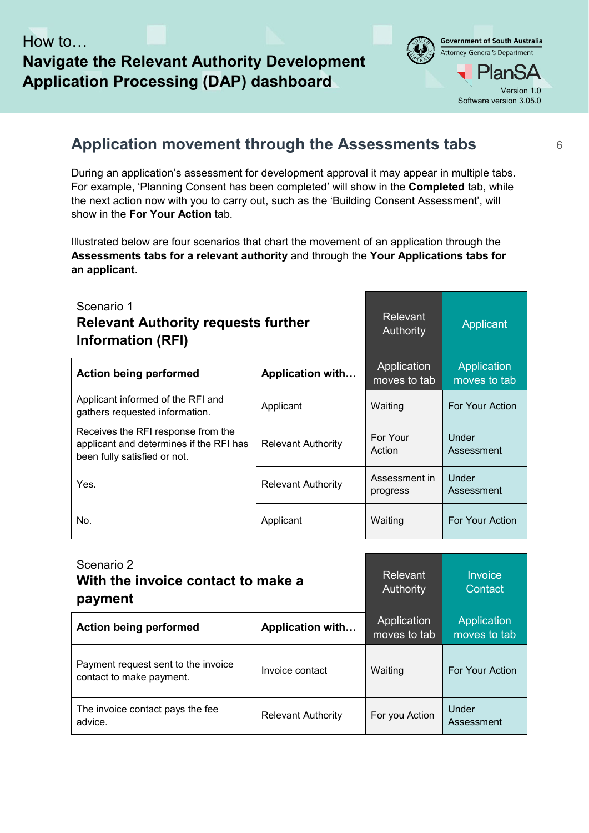# **Navigate the Relevant Authority Development**  Application Processing (DAP) dashboard



## <span id="page-5-0"></span>**Application movement through the Assessments tabs**

During an application's assessment for development approval it may appear in multiple tabs. For example, 'Planning Consent has been completed' will show in the **Completed** tab, while the next action now with you to carry out, such as the 'Building Consent Assessment', will show in the **For Your Action** tab.

Illustrated below are four scenarios that chart the movement of an application through the **Assessments tabs for a relevant authority** and through the **Your Applications tabs for an applicant**.

| Scenario 1<br><b>Relevant Authority requests further</b><br><b>Information (RFI)</b>                          | <b>Relevant</b><br>Authority | Applicant                   |                             |
|---------------------------------------------------------------------------------------------------------------|------------------------------|-----------------------------|-----------------------------|
| <b>Action being performed</b>                                                                                 | <b>Application with</b>      | Application<br>moves to tab | Application<br>moves to tab |
| Applicant informed of the RFI and<br>gathers requested information.                                           | Applicant                    | Waiting                     | For Your Action             |
| Receives the RFI response from the<br>applicant and determines if the RFI has<br>been fully satisfied or not. | <b>Relevant Authority</b>    | For Your<br>Action          | Under<br>Assessment         |
| Yes.                                                                                                          | <b>Relevant Authority</b>    | Assessment in<br>progress   | Under<br>Assessment         |
| No.                                                                                                           | Applicant                    | Waiting                     | For Your Action             |

| Scenario 2<br>With the invoice contact to make a<br>payment     | Relevant<br><b>Authority</b> | Invoice<br>Contact          |                             |
|-----------------------------------------------------------------|------------------------------|-----------------------------|-----------------------------|
| <b>Action being performed</b>                                   | <b>Application with</b>      | Application<br>moves to tab | Application<br>moves to tab |
| Payment request sent to the invoice<br>contact to make payment. | Invoice contact              | Waiting                     | <b>For Your Action</b>      |
| The invoice contact pays the fee<br>advice.                     | <b>Relevant Authority</b>    | For you Action              | Under<br>Assessment         |